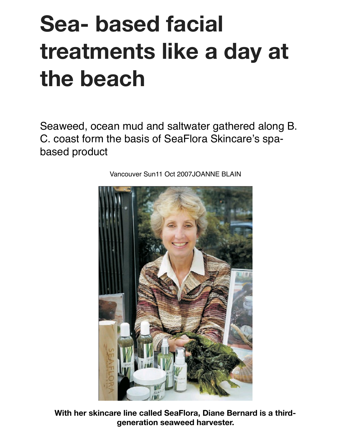## **Sea- based facial treatments like a day at the beach**

Seaweed, ocean mud and saltwater gathered along B. C. coast form the basis of SeaFlora Skincare's spabased product



Vancouver Sun11 Oct 2007JOANNE BLAIN

**With her skincare line called SeaFlora, Diane Bernard is a thirdgeneration seaweed harvester.**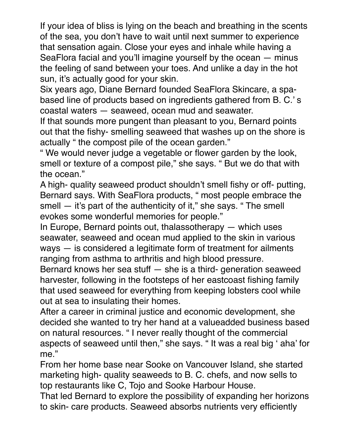If your idea of bliss is lying on the beach and breathing in the scents of the sea, you don't have to wait until next summer to experience that sensation again. Close your eyes and inhale while having a SeaFlora facial and you'll imagine yourself by the ocean — minus the feeling of sand between your toes. And unlike a day in the hot sun, it's actually good for your skin.

Six years ago, Diane Bernard founded SeaFlora Skincare, a spabased line of products based on ingredients gathered from B. C.' s coastal waters — seaweed, ocean mud and seawater.

If that sounds more pungent than pleasant to you, Bernard points out that the fishy- smelling seaweed that washes up on the shore is actually " the compost pile of the ocean garden."

" We would never judge a vegetable or flower garden by the look, smell or texture of a compost pile," she says. " But we do that with the ocean."

A high- quality seaweed product shouldn't smell fishy or off- putting, Bernard says. With SeaFlora products, " most people embrace the smell — it's part of the authenticity of it," she says. " The smell evokes some wonderful memories for people."

In Europe, Bernard points out, thalassotherapy — which uses seawater, seaweed and ocean mud applied to the skin in various ways — is considered a legitimate form of treatment for ailments ranging from asthma to arthritis and high blood pressure.

Bernard knows her sea stuff — she is a third- generation seaweed harvester, following in the footsteps of her eastcoast fishing family that used seaweed for everything from keeping lobsters cool while out at sea to insulating their homes.

After a career in criminal justice and economic development, she decided she wanted to try her hand at a valueadded business based on natural resources. " I never really thought of the commercial aspects of seaweed until then," she says. " It was a real big ' aha' for me."

From her home base near Sooke on Vancouver Island, she started marketing high- quality seaweeds to B. C. chefs, and now sells to top restaurants like C, Tojo and Sooke Harbour House.

That led Bernard to explore the possibility of expanding her horizons to skin- care products. Seaweed absorbs nutrients very efficiently